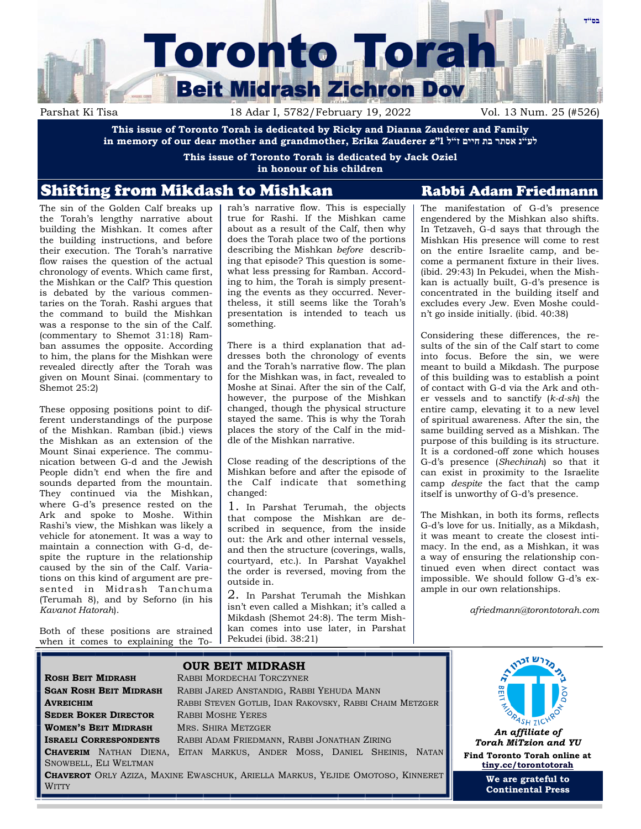

Parshat Ki Tisa 18 Adar I, 5782/February 19, 2022 Vol. 13 Num. 25 (#526)

**This issue of Toronto Torah is dedicated by Ricky and Dianna Zauderer and Family in memory of our dear mother and grandmother, Erika Zauderer z"l ל"ז חיים בת אסתר נ"לע**

> **This issue of Toronto Torah is dedicated by Jack Oziel in honour of his children**

# Shifting from Mikdash to Mishkan Rabbi Adam Friedmann

The sin of the Golden Calf breaks up the Torah's lengthy narrative about building the Mishkan. It comes after the building instructions, and before their execution. The Torah's narrative flow raises the question of the actual chronology of events. Which came first, the Mishkan or the Calf? This question is debated by the various commentaries on the Torah. Rashi argues that the command to build the Mishkan was a response to the sin of the Calf. (commentary to Shemot 31:18) Ramban assumes the opposite. According to him, the plans for the Mishkan were revealed directly after the Torah was given on Mount Sinai. (commentary to Shemot 25:2)

These opposing positions point to different understandings of the purpose of the Mishkan. Ramban (ibid.) views the Mishkan as an extension of the Mount Sinai experience. The communication between G-d and the Jewish People didn't end when the fire and sounds departed from the mountain. They continued via the Mishkan, where G-d's presence rested on the Ark and spoke to Moshe. Within Rashi's view, the Mishkan was likely a vehicle for atonement. It was a way to maintain a connection with G-d, despite the rupture in the relationship caused by the sin of the Calf. Variations on this kind of argument are presented in Midrash Tanchuma (Terumah 8), and by Seforno (in his *Kavanot Hatorah*).

Both of these positions are strained when it comes to explaining the Torah's narrative flow. This is especially true for Rashi. If the Mishkan came about as a result of the Calf, then why does the Torah place two of the portions describing the Mishkan *before* describing that episode? This question is somewhat less pressing for Ramban. According to him, the Torah is simply presenting the events as they occurred. Nevertheless, it still seems like the Torah's presentation is intended to teach us something.

There is a third explanation that addresses both the chronology of events and the Torah's narrative flow. The plan for the Mishkan was, in fact, revealed to Moshe at Sinai. After the sin of the Calf, however, the purpose of the Mishkan changed, though the physical structure stayed the same. This is why the Torah places the story of the Calf in the middle of the Mishkan narrative.

Close reading of the descriptions of the Mishkan before and after the episode of the Calf indicate that something changed:

1. In Parshat Terumah, the objects that compose the Mishkan are described in sequence, from the inside out: the Ark and other internal vessels, and then the structure (coverings, walls, courtyard, etc.). In Parshat Vayakhel the order is reversed, moving from the outside in.

2. In Parshat Terumah the Mishkan isn't even called a Mishkan; it's called a Mikdash (Shemot 24:8). The term Mishkan comes into use later, in Parshat Pekudei (ibid. 38:21)

The manifestation of G-d's presence engendered by the Mishkan also shifts. In Tetzaveh, G-d says that through the Mishkan His presence will come to rest on the entire Israelite camp, and become a permanent fixture in their lives. (ibid. 29:43) In Pekudei, when the Mishkan is actually built, G-d's presence is concentrated in the building itself and excludes every Jew. Even Moshe couldn't go inside initially. (ibid. 40:38)

Considering these differences, the results of the sin of the Calf start to come into focus. Before the sin, we were meant to build a Mikdash. The purpose of this building was to establish a point of contact with G-d via the Ark and other vessels and to sanctify (*k-d-sh*) the entire camp, elevating it to a new level of spiritual awareness. After the sin, the same building served as a Mishkan. The purpose of this building is its structure. It is a cordoned-off zone which houses G-d's presence (*Shechinah*) so that it can exist in proximity to the Israelite camp *despite* the fact that the camp itself is unworthy of G-d's presence.

The Mishkan, in both its forms, reflects G-d's love for us. Initially, as a Mikdash, it was meant to create the closest intimacy. In the end, as a Mishkan, it was a way of ensuring the relationship continued even when direct contact was impossible. We should follow G-d's example in our own relationships.

*afriedmann@torontotorah.com*

<sub>מ</sub>רש זכ<sub>ר</sub>

| <b>ROSH BEIT MIDRASH</b>                                                         | <b>OUR BEIT MIDRASH</b><br><b>RABBI MORDECHAI TORCZYNER</b>                                                                                        |                                                                                |
|----------------------------------------------------------------------------------|----------------------------------------------------------------------------------------------------------------------------------------------------|--------------------------------------------------------------------------------|
| <b>SGAN ROSH BEIT MIDRASH</b><br><b>AVREICHIM</b><br><b>SEDER BOKER DIRECTOR</b> | RABBI JARED ANSTANDIG, RABBI YEHUDA MANN<br>RABBI STEVEN GOTLIB, IDAN RAKOVSKY, RABBI CHAIM METZGER<br><b>RABBI MOSHE YERES</b>                    | 門                                                                              |
| <b>WOMEN'S BEIT MIDRASH</b><br><b>ISRAELI CORRESPONDENTS</b>                     | MRS. SHIRA METZGER<br>RABBI ADAM FRIEDMANN, RABBI JONATHAN ZIRING<br><b>CHAVERIM</b> NATHAN DIENA, EITAN MARKUS, ANDER MOSS, DANIEL SHEINIS, NATAN | An affiliate of<br><b>Torah MiTzion and YU</b><br>Find Toronto Torah online at |
| SNOWBELL, ELI WELTMAN<br><b>WITTY</b>                                            | <b>CHAVEROT</b> ORLY AZIZA, MAXINE EWASCHUK, ARIELLA MARKUS, YEJIDE OMOTOSO, KINNERET                                                              | tiny.cc/torontotorah<br>We are grateful to<br><b>Continental Press</b>         |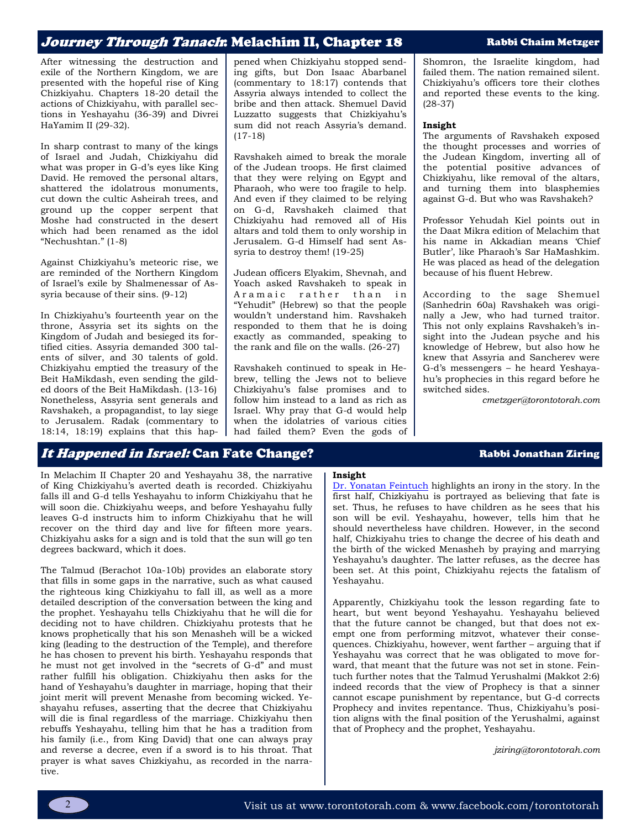## Journey Through Tanach: Melachim II, Chapter 18 Rabbi Chaim Metzger

After witnessing the destruction and exile of the Northern Kingdom, we are presented with the hopeful rise of King Chizkiyahu. Chapters 18-20 detail the actions of Chizkiyahu, with parallel sections in Yeshayahu (36-39) and Divrei HaYamim II (29-32).

In sharp contrast to many of the kings of Israel and Judah, Chizkiyahu did what was proper in G-d's eyes like King David. He removed the personal altars, shattered the idolatrous monuments, cut down the cultic Asheirah trees, and ground up the copper serpent that Moshe had constructed in the desert which had been renamed as the idol "Nechushtan." (1-8)

Against Chizkiyahu's meteoric rise, we are reminded of the Northern Kingdom of Israel's exile by Shalmenessar of Assyria because of their sins. (9-12)

In Chizkiyahu's fourteenth year on the throne, Assyria set its sights on the Kingdom of Judah and besieged its fortified cities. Assyria demanded 300 talents of silver, and 30 talents of gold. Chizkiyahu emptied the treasury of the Beit HaMikdash, even sending the gilded doors of the Beit HaMikdash. (13-16) Nonetheless, Assyria sent generals and Ravshakeh, a propagandist, to lay siege to Jerusalem. Radak (commentary to 18:14, 18:19) explains that this happened when Chizkiyahu stopped sending gifts, but Don Isaac Abarbanel (commentary to 18:17) contends that Assyria always intended to collect the bribe and then attack. Shemuel David Luzzatto suggests that Chizkiyahu's sum did not reach Assyria's demand. (17-18)

Ravshakeh aimed to break the morale of the Judean troops. He first claimed that they were relying on Egypt and Pharaoh, who were too fragile to help. And even if they claimed to be relying on G-d, Ravshakeh claimed that Chizkiyahu had removed all of His altars and told them to only worship in Jerusalem. G-d Himself had sent Assyria to destroy them! (19-25)

Judean officers Elyakim, Shevnah, and Yoach asked Ravshakeh to speak in Aramaic rather than in "Yehudit" (Hebrew) so that the people wouldn't understand him. Ravshakeh responded to them that he is doing exactly as commanded, speaking to the rank and file on the walls. (26-27)

Ravshakeh continued to speak in Hebrew, telling the Jews not to believe Chizkiyahu's false promises and to follow him instead to a land as rich as Israel. Why pray that G-d would help when the idolatries of various cities had failed them? Even the gods of Shomron, the Israelite kingdom, had failed them. The nation remained silent. Chizkiyahu's officers tore their clothes and reported these events to the king. (28-37)

### **Insight**

The arguments of Ravshakeh exposed the thought processes and worries of the Judean Kingdom, inverting all of the potential positive advances of Chizkiyahu, like removal of the altars, and turning them into blasphemies against G-d. But who was Ravshakeh?

Professor Yehudah Kiel points out in the Daat Mikra edition of Melachim that his name in Akkadian means 'Chief Butler', like Pharaoh's Sar HaMashkim. He was placed as head of the delegation because of his fluent Hebrew.

According to the sage Shemuel (Sanhedrin 60a) Ravshakeh was originally a Jew, who had turned traitor. This not only explains Ravshakeh's insight into the Judean psyche and his knowledge of Hebrew, but also how he knew that Assyria and Sancherev were G-d's messengers – he heard Yeshayahu's prophecies in this regard before he switched sides.

*cmetzger@torontotorah.com*

## It Happened in Israel: Can Fate Change? Rabbi Jonathan Ziring

In Melachim II Chapter 20 and Yeshayahu 38, the narrative of King Chizkiyahu's averted death is recorded. Chizkiyahu falls ill and G-d tells Yeshayahu to inform Chizkiyahu that he will soon die. Chizkiyahu weeps, and before Yeshayahu fully leaves G-d instructs him to inform Chizkiyahu that he will recover on the third day and live for fifteen more years. Chizkiyahu asks for a sign and is told that the sun will go ten degrees backward, which it does.

The Talmud (Berachot 10a-10b) provides an elaborate story that fills in some gaps in the narrative, such as what caused the righteous king Chizkiyahu to fall ill, as well as a more detailed description of the conversation between the king and the prophet. Yeshayahu tells Chizkiyahu that he will die for deciding not to have children. Chizkiyahu protests that he knows prophetically that his son Menasheh will be a wicked king (leading to the destruction of the Temple), and therefore he has chosen to prevent his birth. Yeshayahu responds that he must not get involved in the "secrets of G-d" and must rather fulfill his obligation. Chizkiyahu then asks for the hand of Yeshayahu's daughter in marriage, hoping that their joint merit will prevent Menashe from becoming wicked. Yeshayahu refuses, asserting that the decree that Chizkiyahu will die is final regardless of the marriage. Chizkiyahu then rebuffs Yeshayahu, telling him that he has a tradition from his family (i.e., from King David) that one can always pray and reverse a decree, even if a sword is to his throat. That prayer is what saves Chizkiyahu, as recorded in the narrative.

### **Insight**

[Dr. Yonatan Feintuch](https://torah.etzion.org.il/en/shiur-22-story-chizkiya-and-his-illness-%E2%80%93-part-i) highlights an irony in the story. In the first half, Chizkiyahu is portrayed as believing that fate is set. Thus, he refuses to have children as he sees that his son will be evil. Yeshayahu, however, tells him that he should nevertheless have children. However, in the second half, Chizkiyahu tries to change the decree of his death and the birth of the wicked Menasheh by praying and marrying Yeshayahu's daughter. The latter refuses, as the decree has been set. At this point, Chizkiyahu rejects the fatalism of Yeshayahu.

Apparently, Chizkiyahu took the lesson regarding fate to heart, but went beyond Yeshayahu. Yeshayahu believed that the future cannot be changed, but that does not exempt one from performing mitzvot, whatever their consequences. Chizkiyahu, however, went farther – arguing that if Yeshayahu was correct that he was obligated to move forward, that meant that the future was not set in stone. Feintuch further notes that the Talmud Yerushalmi (Makkot 2:6) indeed records that the view of Prophecy is that a sinner cannot escape punishment by repentance, but G-d corrects Prophecy and invites repentance. Thus, Chizkiyahu's position aligns with the final position of the Yerushalmi, against that of Prophecy and the prophet, Yeshayahu.

*jziring@torontotorah.com*

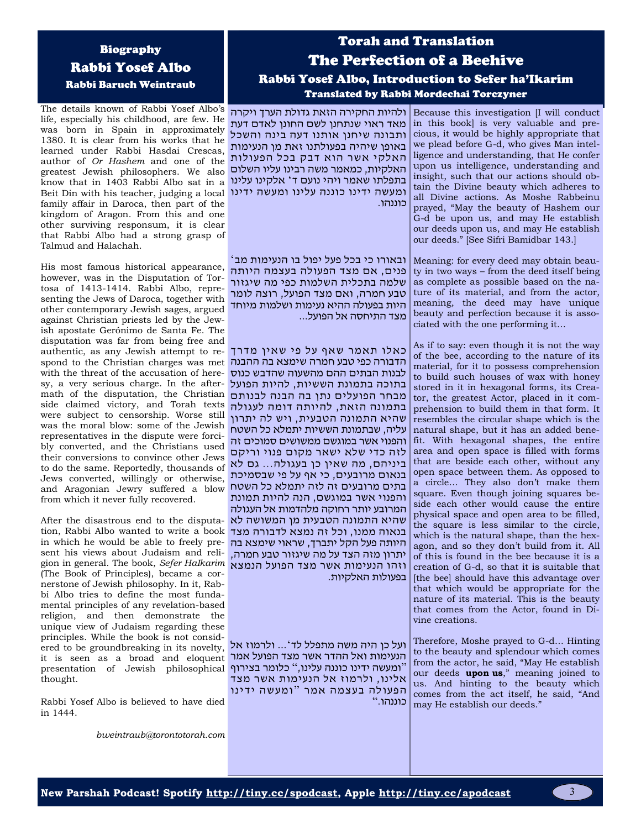## Biography Rabbi Yosef Albo Rabbi Baruch Weintraub

The details known of Rabbi Yosef Albo's life, especially his childhood, are few. He was born in Spain in approximately 1380. It is clear from his works that he learned under Rabbi Hasdai Crescas, author of *Or Hashem* and one of the greatest Jewish philosophers. We also know that in 1403 Rabbi Albo sat in a Beit Din with his teacher, judging a local ומעשה ידינו כוננה עלינו ומעשה ידינו family affair in Daroca, then part of the kingdom of Aragon. From this and one other surviving responsum, it is clear that Rabbi Albo had a strong grasp of Talmud and Halachah.

His most famous historical appearance, however, was in the Disputation of Tortosa of 1413-1414. Rabbi Albo, representing the Jews of Daroca, together with other contemporary Jewish sages, argued against Christian priests led by the Jewish apostate Gerónimo de Santa Fe. The disputation was far from being free and authentic, as any Jewish attempt to respond to the Christian charges was met with the threat of the accusation of heresy, a very serious charge. In the aftermath of the disputation, the Christian מבחר הפועלים נתן בה הבנה לבנותם side claimed victory, and Torah texts were subject to censorship. Worse still was the moral blow: some of the Jewish representatives in the dispute were forcibly converted, and the Christians used their conversions to convince other Jews to do the same. Reportedly, thousands of Jews converted, willingly or otherwise, and Aragonian Jewry suffered a blow בתים מרובעים זה לזה יתמלא כל השטח from which it never fully recovered.

After the disastrous end to the disputation, Rabbi Albo wanted to write a book in which he would be able to freely present his views about Judaism and religion in general. The book, *Sefer HaIkarim* (The Book of Principles), became a cornerstone of Jewish philosophy. In it, Rabbi Albo tries to define the most fundamental principles of any revelation-based religion, and then demonstrate the unique view of Judaism regarding these principles. While the book is not considered to be groundbreaking in its novelty, it is seen as a broad and eloquent presentation of Jewish philosophical thought.

Rabbi Yosef Albo is believed to have died in 1444.

*bweintraub@torontotorah.com*

# Torah and Translation The Perfection of a Beehive Rabbi Yosef Albo, Introduction to Sefer ha'Ikarim Translated by Rabbi Mordechai Torczyner

ולהיות החקירה הזאת גדולת הערך ויקרה מאד ראוי שנתחנן לשם החונן לאדם דעת ותבונה שיחנן אותנו דעה בינה והשכל באופן שיהיה בפעולתנו זאת מן הנעימות האלקי אשר הוא דבק בכל הפעולות האלקיות, כמאמר משה רבינו עליו השלום בתפלתו שאמר ויהי נועם ד ' אלקינו עלינו כוננהו.

ובאורו כי בכל פעל יפול בו הנעימות מב ' פנים, אם מצד הפעולה בעצמה היותה שלמה בתכלית השלמות כפי מה שיגזור טבע חמרה, ואם מצד הפועל, רוצה לומר היות בפעולה ההיא נעימות ושלמות מיוחד מצד התיחסה אל הפועל...

כאלו תאמר שאף על פי שאין מדרך הדבורה כפי טבע חמרה שימצא בה ההבנה לבנות הבתים ההם מהשעוה שהדבש כנוס בתוכה בתמונת הששיות, להיות הפועל בתמונה הזאת, להיותה דומה לעגולה שהיא התמונה הטבעית, ויש לה יתרון עליה, שבתמונת הששיות יתמלא כל השטח והפנוי אשר במוגשם ממשושים סמוכים זה לזה כדי שלא ישאר מקום פנוי וריקם ביניהם, מה שאין כן בעגולה... גם לא בנאום מרובעים, כי אף על פי שבסמיכת והפנוי אשר במוגשם, הנה להיות תמונת המרובע יותר רחוקה מלהדמות אל העגולה שהיא התמונה הטבעית מן המשושה לא בנאוה ממנו, וכל זה נמצא לדבורה מצד היותה פעל הקל יתברך, שראוי שימצא בה יתרון מזה הצד על מה שיגזור טבע חמרה, וזהו הנעימות אשר מצד הפועל הנמצא בפעולות האלקיות.

ועל כן היה משה מתפלל לד '... ולרמוז אל הנעימות ואל ההדר אשר מצד הפועל אמר " ומעשה ידינו כוננה עלינו, " כלומר בצירוף אלינו, ולרמוז אל הנעימות אשר מצד הפעולה בעצמה אמר " ומעשה ידינו כוננהו."

Because this investigation [I will conduct in this book] is very valuable and precious, it would be highly appropriate that we plead before G-d, who gives Man intelligence and understanding, that He confer upon us intelligence, understanding and insight, such that our actions should obtain the Divine beauty which adheres to all Divine actions. As Moshe Rabbeinu prayed, "May the beauty of Hashem our G-d be upon us, and may He establish our deeds upon us, and may He establish our deeds." [See Sifri Bamidbar 143.]

Meaning: for every deed may obtain beauty in two ways – from the deed itself being as complete as possible based on the nature of its material, and from the actor, meaning, the deed may have unique beauty and perfection because it is associated with the one performing it…

As if to say: even though it is not the way of the bee, according to the nature of its material, for it to possess comprehension to build such houses of wax with honey stored in it in hexagonal forms, its Creator, the greatest Actor, placed in it comprehension to build them in that form. It resembles the circular shape which is the natural shape, but it has an added benefit. With hexagonal shapes, the entire area and open space is filled with forms that are beside each other, without any open space between them. As opposed to a circle… They also don't make them square. Even though joining squares beside each other would cause the entire physical space and open area to be filled, the square is less similar to the circle, which is the natural shape, than the hexagon, and so they don't build from it. All of this is found in the bee because it is a creation of G-d, so that it is suitable that [the bee] should have this advantage over that which would be appropriate for the nature of its material. This is the beauty that comes from the Actor, found in Divine creations.

Therefore, Moshe prayed to G-d… Hinting to the beauty and splendour which comes from the actor, he said, "May He establish our deeds **upon us**," meaning joined to us. And hinting to the beauty which comes from the act itself, he said, "And may He establish our deeds."